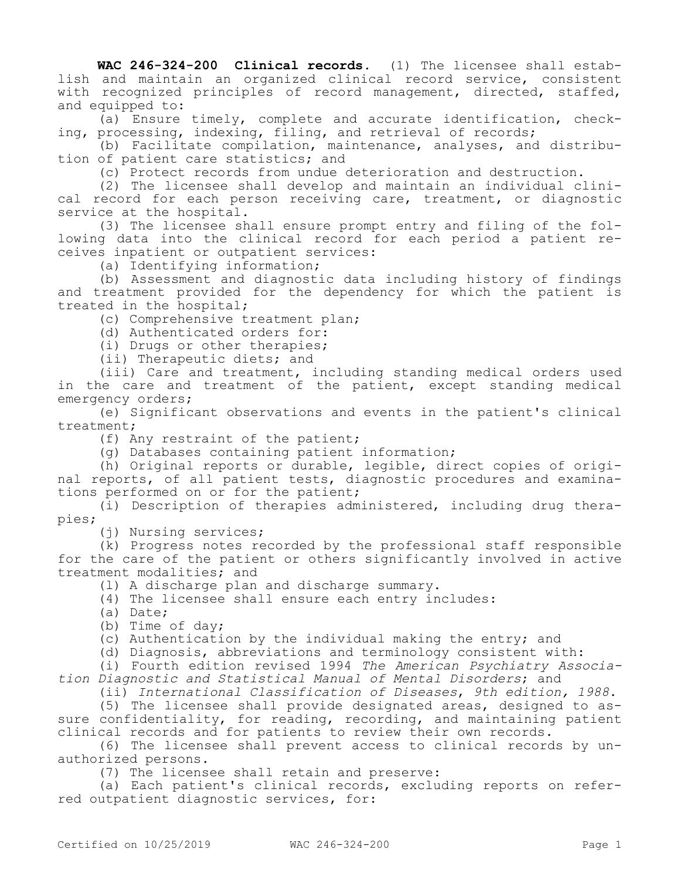**WAC 246-324-200 Clinical records.** (1) The licensee shall establish and maintain an organized clinical record service, consistent with recognized principles of record management, directed, staffed, and equipped to:

(a) Ensure timely, complete and accurate identification, checking, processing, indexing, filing, and retrieval of records;

(b) Facilitate compilation, maintenance, analyses, and distribution of patient care statistics; and

(c) Protect records from undue deterioration and destruction.

(2) The licensee shall develop and maintain an individual clinical record for each person receiving care, treatment, or diagnostic service at the hospital.

(3) The licensee shall ensure prompt entry and filing of the following data into the clinical record for each period a patient receives inpatient or outpatient services:

(a) Identifying information;

(b) Assessment and diagnostic data including history of findings and treatment provided for the dependency for which the patient is treated in the hospital;

(c) Comprehensive treatment plan;

(d) Authenticated orders for:

(i) Drugs or other therapies;

(ii) Therapeutic diets; and

(iii) Care and treatment, including standing medical orders used in the care and treatment of the patient, except standing medical emergency orders;

(e) Significant observations and events in the patient's clinical treatment;

(f) Any restraint of the patient;

(g) Databases containing patient information;

(h) Original reports or durable, legible, direct copies of original reports, of all patient tests, diagnostic procedures and examinations performed on or for the patient;

(i) Description of therapies administered, including drug therapies;

(j) Nursing services;

(k) Progress notes recorded by the professional staff responsible for the care of the patient or others significantly involved in active treatment modalities; and

(l) A discharge plan and discharge summary.

(4) The licensee shall ensure each entry includes:

(a) Date;

(b) Time of day;

(c) Authentication by the individual making the entry; and

(d) Diagnosis, abbreviations and terminology consistent with:

(i) Fourth edition revised 1994 *The American Psychiatry Association Diagnostic and Statistical Manual of Mental Disorders*; and

(ii) *International Classification of Diseases*, *9th edition, 1988*.

(5) The licensee shall provide designated areas, designed to assure confidentiality, for reading, recording, and maintaining patient clinical records and for patients to review their own records.

(6) The licensee shall prevent access to clinical records by unauthorized persons.

(7) The licensee shall retain and preserve:

(a) Each patient's clinical records, excluding reports on referred outpatient diagnostic services, for: